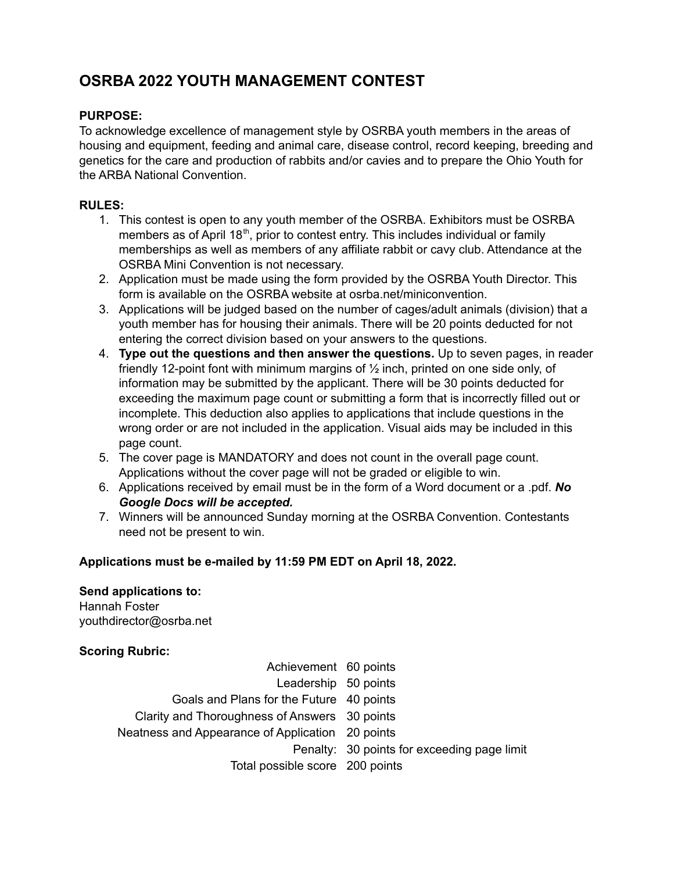## **OSRBA 2022 YOUTH MANAGEMENT CONTEST**

### **PURPOSE:**

To acknowledge excellence of management style by OSRBA youth members in the areas of housing and equipment, feeding and animal care, disease control, record keeping, breeding and genetics for the care and production of rabbits and/or cavies and to prepare the Ohio Youth for the ARBA National Convention.

#### **RULES:**

- 1. This contest is open to any youth member of the OSRBA. Exhibitors must be OSRBA members as of April 18<sup>th</sup>, prior to contest entry. This includes individual or family memberships as well as members of any affiliate rabbit or cavy club. Attendance at the OSRBA Mini Convention is not necessary.
- 2. Application must be made using the form provided by the OSRBA Youth Director. This form is available on the OSRBA website at osrba.net/miniconvention.
- 3. Applications will be judged based on the number of cages/adult animals (division) that a youth member has for housing their animals. There will be 20 points deducted for not entering the correct division based on your answers to the questions.
- 4. **Type out the questions and then answer the questions.** Up to seven pages, in reader friendly 12-point font with minimum margins of ½ inch, printed on one side only, of information may be submitted by the applicant. There will be 30 points deducted for exceeding the maximum page count or submitting a form that is incorrectly filled out or incomplete. This deduction also applies to applications that include questions in the wrong order or are not included in the application. Visual aids may be included in this page count.
- 5. The cover page is MANDATORY and does not count in the overall page count. Applications without the cover page will not be graded or eligible to win.
- 6. Applications received by email must be in the form of a Word document or a .pdf. *No Google Docs will be accepted.*
- 7. Winners will be announced Sunday morning at the OSRBA Convention. Contestants need not be present to win.

#### **Applications must be e-mailed by 11:59 PM EDT on April 18, 2022.**

#### **Send applications to:**

Hannah Foster youthdirector@osrba.net

#### **Scoring Rubric:**

| Achievement 60 points                            |                                             |
|--------------------------------------------------|---------------------------------------------|
| Leadership 50 points                             |                                             |
| Goals and Plans for the Future 40 points         |                                             |
| Clarity and Thoroughness of Answers 30 points    |                                             |
| Neatness and Appearance of Application 20 points |                                             |
|                                                  | Penalty: 30 points for exceeding page limit |
| Total possible score 200 points                  |                                             |